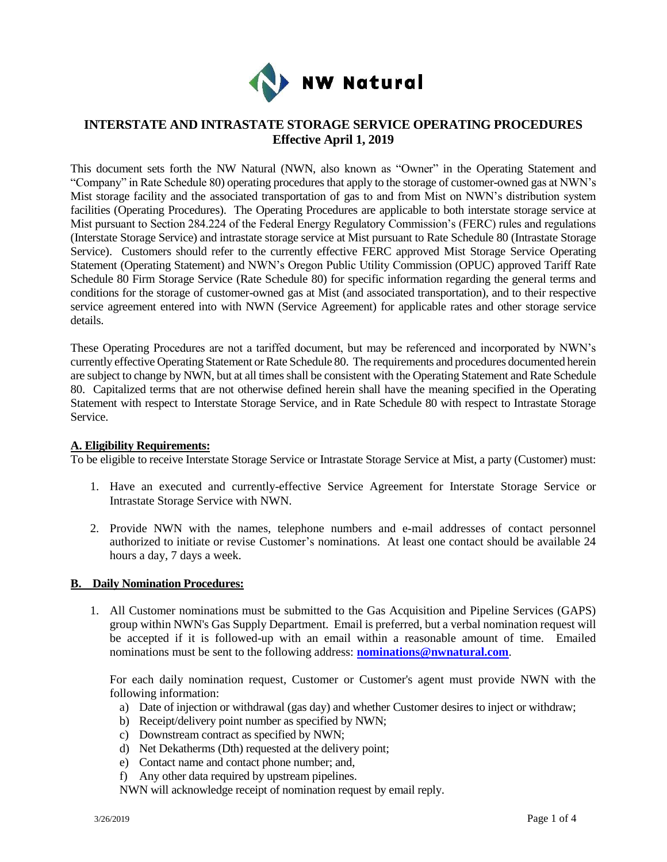

## **INTERSTATE AND INTRASTATE STORAGE SERVICE OPERATING PROCEDURES Effective April 1, 2019**

This document sets forth the NW Natural (NWN, also known as "Owner" in the Operating Statement and "Company" in Rate Schedule 80) operating procedures that apply to the storage of customer-owned gas at NWN's Mist storage facility and the associated transportation of gas to and from Mist on NWN's distribution system facilities (Operating Procedures). The Operating Procedures are applicable to both interstate storage service at Mist pursuant to Section 284.224 of the Federal Energy Regulatory Commission's (FERC) rules and regulations (Interstate Storage Service) and intrastate storage service at Mist pursuant to Rate Schedule 80 (Intrastate Storage Service). Customers should refer to the currently effective FERC approved Mist Storage Service Operating Statement (Operating Statement) and NWN's Oregon Public Utility Commission (OPUC) approved Tariff Rate Schedule 80 Firm Storage Service (Rate Schedule 80) for specific information regarding the general terms and conditions for the storage of customer-owned gas at Mist (and associated transportation), and to their respective service agreement entered into with NWN (Service Agreement) for applicable rates and other storage service details.

These Operating Procedures are not a tariffed document, but may be referenced and incorporated by NWN's currently effective Operating Statement or Rate Schedule 80. The requirements and procedures documented herein are subject to change by NWN, but at all times shall be consistent with the Operating Statement and Rate Schedule 80. Capitalized terms that are not otherwise defined herein shall have the meaning specified in the Operating Statement with respect to Interstate Storage Service, and in Rate Schedule 80 with respect to Intrastate Storage Service.

## **A. Eligibility Requirements:**

To be eligible to receive Interstate Storage Service or Intrastate Storage Service at Mist, a party (Customer) must:

- 1. Have an executed and currently-effective Service Agreement for Interstate Storage Service or Intrastate Storage Service with NWN.
- 2. Provide NWN with the names, telephone numbers and e-mail addresses of contact personnel authorized to initiate or revise Customer's nominations. At least one contact should be available 24 hours a day, 7 days a week.

## **B. Daily Nomination Procedures:**

1. All Customer nominations must be submitted to the Gas Acquisition and Pipeline Services (GAPS) group within NWN's Gas Supply Department. Email is preferred, but a verbal nomination request will be accepted if it is followed-up with an email within a reasonable amount of time. Emailed nominations must be sent to the following address: **[nominations@nwnatural.com](mailto:nominations@nwnatural.com)**.

For each daily nomination request, Customer or Customer's agent must provide NWN with the following information:

- a) Date of injection or withdrawal (gas day) and whether Customer desires to inject or withdraw;
- b) Receipt/delivery point number as specified by NWN;
- c) Downstream contract as specified by NWN;
- d) Net Dekatherms (Dth) requested at the delivery point;
- e) Contact name and contact phone number; and,
- f) Any other data required by upstream pipelines.

NWN will acknowledge receipt of nomination request by email reply.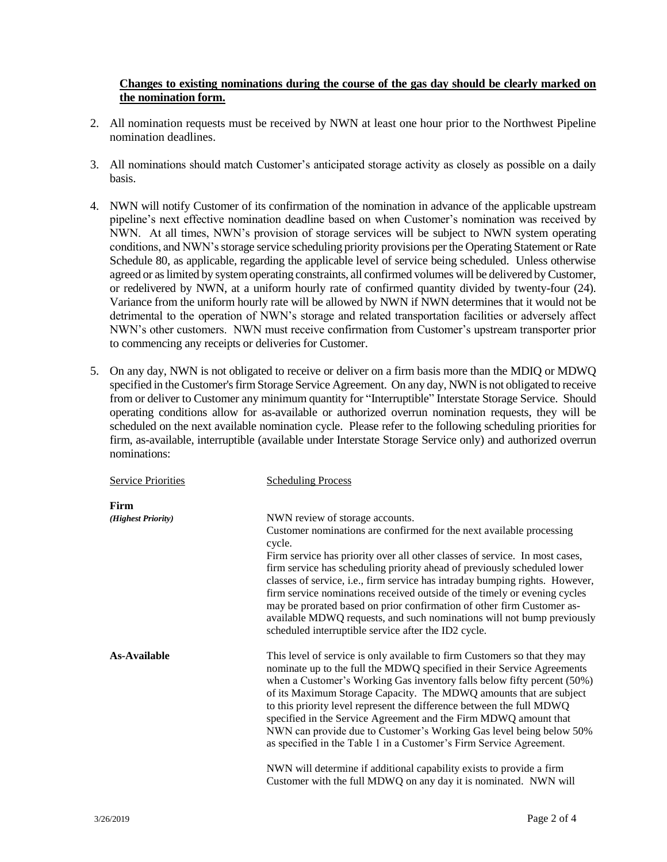## **Changes to existing nominations during the course of the gas day should be clearly marked on the nomination form.**

- 2. All nomination requests must be received by NWN at least one hour prior to the Northwest Pipeline nomination deadlines.
- 3. All nominations should match Customer's anticipated storage activity as closely as possible on a daily basis.
- 4. NWN will notify Customer of its confirmation of the nomination in advance of the applicable upstream pipeline's next effective nomination deadline based on when Customer's nomination was received by NWN. At all times, NWN's provision of storage services will be subject to NWN system operating conditions, and NWN's storage service scheduling priority provisions per the Operating Statement or Rate Schedule 80, as applicable, regarding the applicable level of service being scheduled. Unless otherwise agreed or as limited by system operating constraints, all confirmed volumes will be delivered by Customer, or redelivered by NWN, at a uniform hourly rate of confirmed quantity divided by twenty-four (24). Variance from the uniform hourly rate will be allowed by NWN if NWN determines that it would not be detrimental to the operation of NWN's storage and related transportation facilities or adversely affect NWN's other customers. NWN must receive confirmation from Customer's upstream transporter prior to commencing any receipts or deliveries for Customer.
- 5. On any day, NWN is not obligated to receive or deliver on a firm basis more than the MDIQ or MDWQ specified in the Customer's firm Storage Service Agreement. On any day, NWN is not obligated to receive from or deliver to Customer any minimum quantity for "Interruptible" Interstate Storage Service. Should operating conditions allow for as-available or authorized overrun nomination requests, they will be scheduled on the next available nomination cycle. Please refer to the following scheduling priorities for firm, as-available, interruptible (available under Interstate Storage Service only) and authorized overrun nominations:

| <b>Service Priorities</b> | <b>Scheduling Process</b>                                                                                                                                                                                                                                                                                                                                                                                                                                                                                                                                                                        |
|---------------------------|--------------------------------------------------------------------------------------------------------------------------------------------------------------------------------------------------------------------------------------------------------------------------------------------------------------------------------------------------------------------------------------------------------------------------------------------------------------------------------------------------------------------------------------------------------------------------------------------------|
| Firm                      |                                                                                                                                                                                                                                                                                                                                                                                                                                                                                                                                                                                                  |
| (Highest Priority)        | NWN review of storage accounts.                                                                                                                                                                                                                                                                                                                                                                                                                                                                                                                                                                  |
|                           | Customer nominations are confirmed for the next available processing<br>cycle.                                                                                                                                                                                                                                                                                                                                                                                                                                                                                                                   |
|                           | Firm service has priority over all other classes of service. In most cases,                                                                                                                                                                                                                                                                                                                                                                                                                                                                                                                      |
|                           | firm service has scheduling priority ahead of previously scheduled lower<br>classes of service, i.e., firm service has intraday bumping rights. However,<br>firm service nominations received outside of the timely or evening cycles<br>may be prorated based on prior confirmation of other firm Customer as-<br>available MDWQ requests, and such nominations will not bump previously<br>scheduled interruptible service after the ID2 cycle.                                                                                                                                                |
| As-Available              | This level of service is only available to firm Customers so that they may<br>nominate up to the full the MDWQ specified in their Service Agreements<br>when a Customer's Working Gas inventory falls below fifty percent (50%)<br>of its Maximum Storage Capacity. The MDWQ amounts that are subject<br>to this priority level represent the difference between the full MDWQ<br>specified in the Service Agreement and the Firm MDWQ amount that<br>NWN can provide due to Customer's Working Gas level being below 50%<br>as specified in the Table 1 in a Customer's Firm Service Agreement. |
|                           | NWN will determine if additional capability exists to provide a firm<br>Customer with the full MDWQ on any day it is nominated. NWN will                                                                                                                                                                                                                                                                                                                                                                                                                                                         |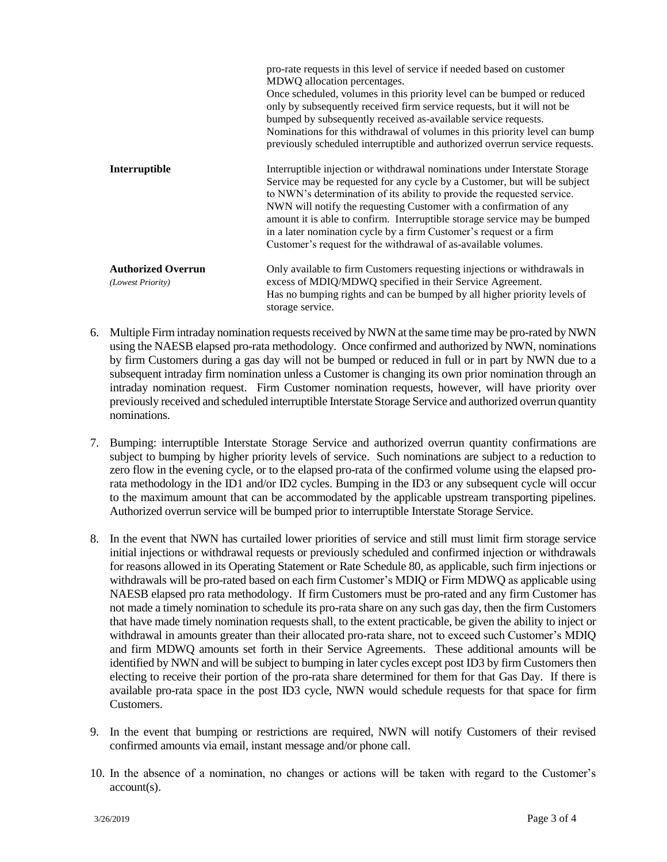|                                                | pro-rate requests in this level of service if needed based on customer<br>MDWQ allocation percentages.<br>Once scheduled, volumes in this priority level can be bumped or reduced<br>only by subsequently received firm service requests, but it will not be<br>bumped by subsequently received as-available service requests.<br>Nominations for this withdrawal of volumes in this priority level can bump<br>previously scheduled interruptible and authorized overrun service requests.                                   |
|------------------------------------------------|-------------------------------------------------------------------------------------------------------------------------------------------------------------------------------------------------------------------------------------------------------------------------------------------------------------------------------------------------------------------------------------------------------------------------------------------------------------------------------------------------------------------------------|
| Interruptible                                  | Interruptible injection or withdrawal nominations under Interstate Storage<br>Service may be requested for any cycle by a Customer, but will be subject<br>to NWN's determination of its ability to provide the requested service.<br>NWN will notify the requesting Customer with a confirmation of any<br>amount it is able to confirm. Interruptible storage service may be bumped<br>in a later nomination cycle by a firm Customer's request or a firm<br>Customer's request for the withdrawal of as-available volumes. |
| <b>Authorized Overrun</b><br>(Lowest Priority) | Only available to firm Customers requesting injections or withdrawals in<br>excess of MDIQ/MDWQ specified in their Service Agreement.<br>Has no bumping rights and can be bumped by all higher priority levels of<br>storage service.                                                                                                                                                                                                                                                                                         |

- 6. Multiple Firm intraday nomination requests received by NWN at the same time may be pro-rated by NWN using the NAESB elapsed pro-rata methodology. Once confirmed and authorized by NWN, nominations by firm Customers during a gas day will not be bumped or reduced in full or in part by NWN due to a subsequent intraday firm nomination unless a Customer is changing its own prior nomination through an intraday nomination request. Firm Customer nomination requests, however, will have priority over previously received and scheduled interruptible Interstate Storage Service and authorized overrun quantity nominations.
- 7. Bumping: interruptible Interstate Storage Service and authorized overrun quantity confirmations are subject to bumping by higher priority levels of service. Such nominations are subject to a reduction to zero flow in the evening cycle, or to the elapsed pro-rata of the confirmed volume using the elapsed prorata methodology in the ID1 and/or ID2 cycles. Bumping in the ID3 or any subsequent cycle will occur to the maximum amount that can be accommodated by the applicable upstream transporting pipelines. Authorized overrun service will be bumped prior to interruptible Interstate Storage Service.
- 8. In the event that NWN has curtailed lower priorities of service and still must limit firm storage service initial injections or withdrawal requests or previously scheduled and confirmed injection or withdrawals for reasons allowed in its Operating Statement or Rate Schedule 80, as applicable, such firm injections or withdrawals will be pro-rated based on each firm Customer's MDIQ or Firm MDWQ as applicable using NAESB elapsed pro rata methodology. If firm Customers must be pro-rated and any firm Customer has not made a timely nomination to schedule its pro-rata share on any such gas day, then the firm Customers that have made timely nomination requests shall, to the extent practicable, be given the ability to inject or withdrawal in amounts greater than their allocated pro-rata share, not to exceed such Customer's MDIQ and firm MDWQ amounts set forth in their Service Agreements. These additional amounts will be identified by NWN and will be subject to bumping in later cycles except post ID3 by firm Customers then electing to receive their portion of the pro-rata share determined for them for that Gas Day. If there is available pro-rata space in the post ID3 cycle, NWN would schedule requests for that space for firm Customers.
- 9. In the event that bumping or restrictions are required, NWN will notify Customers of their revised confirmed amounts via email, instant message and/or phone call.
- 10. In the absence of a nomination, no changes or actions will be taken with regard to the Customer's account(s).